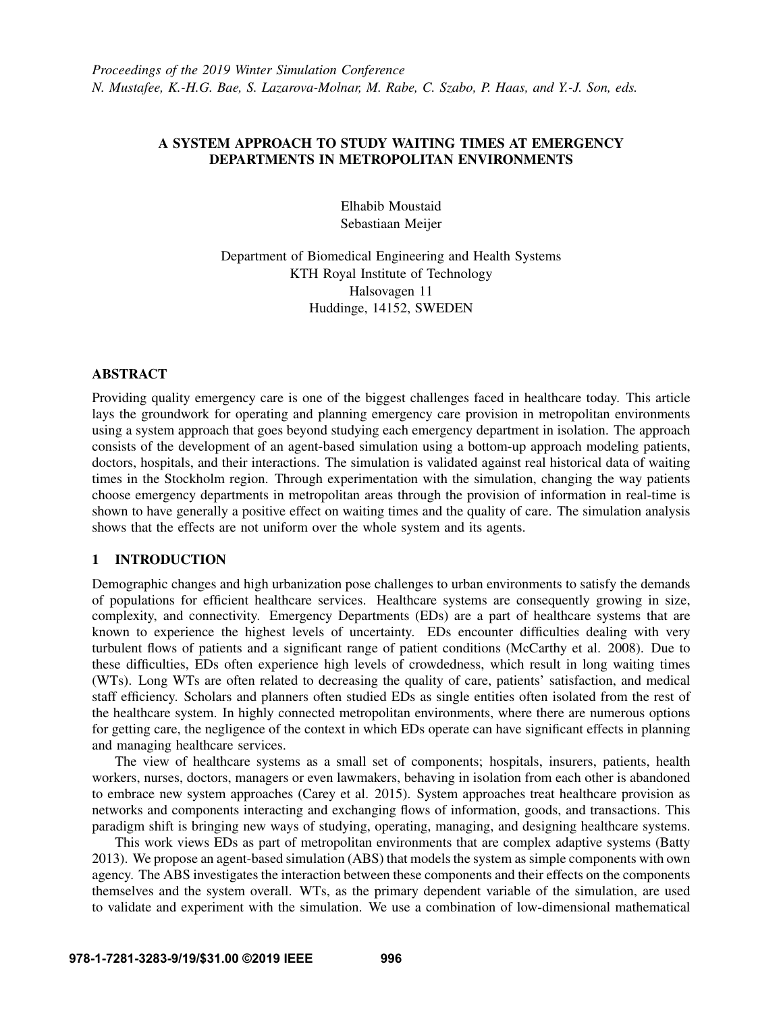# A SYSTEM APPROACH TO STUDY WAITING TIMES AT EMERGENCY DEPARTMENTS IN METROPOLITAN ENVIRONMENTS

Elhabib Moustaid Sebastiaan Meijer

Department of Biomedical Engineering and Health Systems KTH Royal Institute of Technology Halsovagen 11 Huddinge, 14152, SWEDEN

# ABSTRACT

Providing quality emergency care is one of the biggest challenges faced in healthcare today. This article lays the groundwork for operating and planning emergency care provision in metropolitan environments using a system approach that goes beyond studying each emergency department in isolation. The approach consists of the development of an agent-based simulation using a bottom-up approach modeling patients, doctors, hospitals, and their interactions. The simulation is validated against real historical data of waiting times in the Stockholm region. Through experimentation with the simulation, changing the way patients choose emergency departments in metropolitan areas through the provision of information in real-time is shown to have generally a positive effect on waiting times and the quality of care. The simulation analysis shows that the effects are not uniform over the whole system and its agents.

# 1 INTRODUCTION

Demographic changes and high urbanization pose challenges to urban environments to satisfy the demands of populations for efficient healthcare services. Healthcare systems are consequently growing in size, complexity, and connectivity. Emergency Departments (EDs) are a part of healthcare systems that are known to experience the highest levels of uncertainty. EDs encounter difficulties dealing with very turbulent flows of patients and a significant range of patient conditions [\(McCarthy et al. 2008\)](#page-11-0). Due to these difficulties, EDs often experience high levels of crowdedness, which result in long waiting times (WTs). Long WTs are often related to decreasing the quality of care, patients' satisfaction, and medical staff efficiency. Scholars and planners often studied EDs as single entities often isolated from the rest of the healthcare system. In highly connected metropolitan environments, where there are numerous options for getting care, the negligence of the context in which EDs operate can have significant effects in planning and managing healthcare services.

The view of healthcare systems as a small set of components; hospitals, insurers, patients, health workers, nurses, doctors, managers or even lawmakers, behaving in isolation from each other is abandoned to embrace new system approaches [\(Carey et al. 2015\)](#page-10-0). System approaches treat healthcare provision as networks and components interacting and exchanging flows of information, goods, and transactions. This paradigm shift is bringing new ways of studying, operating, managing, and designing healthcare systems.

This work views EDs as part of metropolitan environments that are complex adaptive systems [\(Batty](#page-10-1) [2013\)](#page-10-1). We propose an agent-based simulation (ABS) that models the system as simple components with own agency. The ABS investigates the interaction between these components and their effects on the components themselves and the system overall. WTs, as the primary dependent variable of the simulation, are used to validate and experiment with the simulation. We use a combination of low-dimensional mathematical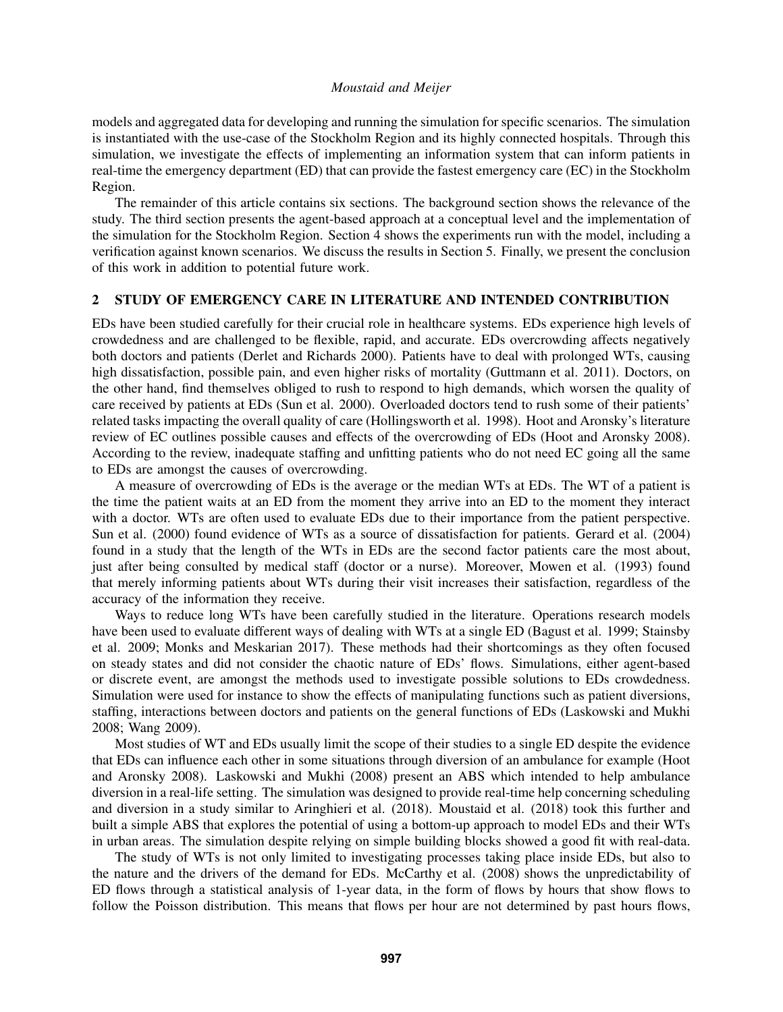models and aggregated data for developing and running the simulation for specific scenarios. The simulation is instantiated with the use-case of the Stockholm Region and its highly connected hospitals. Through this simulation, we investigate the effects of implementing an information system that can inform patients in real-time the emergency department (ED) that can provide the fastest emergency care (EC) in the Stockholm Region.

The remainder of this article contains six sections. The background section shows the relevance of the study. The third section presents the agent-based approach at a conceptual level and the implementation of the simulation for the Stockholm Region. Section [4](#page-7-0) shows the experiments run with the model, including a verification against known scenarios. We discuss the results in Section [5.](#page-9-0) Finally, we present the conclusion of this work in addition to potential future work.

## 2 STUDY OF EMERGENCY CARE IN LITERATURE AND INTENDED CONTRIBUTION

EDs have been studied carefully for their crucial role in healthcare systems. EDs experience high levels of crowdedness and are challenged to be flexible, rapid, and accurate. EDs overcrowding affects negatively both doctors and patients [\(Derlet and Richards 2000\)](#page-10-2). Patients have to deal with prolonged WTs, causing high dissatisfaction, possible pain, and even higher risks of mortality [\(Guttmann et al. 2011\)](#page-11-1). Doctors, on the other hand, find themselves obliged to rush to respond to high demands, which worsen the quality of care received by patients at EDs [\(Sun et al. 2000\)](#page-11-2). Overloaded doctors tend to rush some of their patients' related tasks impacting the overall quality of care [\(Hollingsworth et al. 1998\)](#page-11-3). Hoot and Aronsky's literature review of EC outlines possible causes and effects of the overcrowding of EDs [\(Hoot and Aronsky 2008\)](#page-11-4). According to the review, inadequate staffing and unfitting patients who do not need EC going all the same to EDs are amongst the causes of overcrowding.

A measure of overcrowding of EDs is the average or the median WTs at EDs. The WT of a patient is the time the patient waits at an ED from the moment they arrive into an ED to the moment they interact with a doctor. WTs are often used to evaluate EDs due to their importance from the patient perspective. [Sun et al. \(2000\)](#page-11-2) found evidence of WTs as a source of dissatisfaction for patients. [Gerard et al. \(2004\)](#page-10-3) found in a study that the length of the WTs in EDs are the second factor patients care the most about, just after being consulted by medical staff (doctor or a nurse). Moreover, [Mowen et al. \(1993\)](#page-11-5) found that merely informing patients about WTs during their visit increases their satisfaction, regardless of the accuracy of the information they receive.

Ways to reduce long WTs have been carefully studied in the literature. Operations research models have been used to evaluate different ways of dealing with WTs at a single ED [\(Bagust et al. 1999;](#page-10-4) [Stainsby](#page-11-6) [et al. 2009;](#page-11-6) [Monks and Meskarian 2017\)](#page-11-7). These methods had their shortcomings as they often focused on steady states and did not consider the chaotic nature of EDs' flows. Simulations, either agent-based or discrete event, are amongst the methods used to investigate possible solutions to EDs crowdedness. Simulation were used for instance to show the effects of manipulating functions such as patient diversions, staffing, interactions between doctors and patients on the general functions of EDs [\(Laskowski and Mukhi](#page-11-8) [2008;](#page-11-8) [Wang 2009\)](#page-11-9).

Most studies of WT and EDs usually limit the scope of their studies to a single ED despite the evidence that EDs can influence each other in some situations through diversion of an ambulance for example [\(Hoot](#page-11-4) [and Aronsky 2008\)](#page-11-4). [Laskowski and Mukhi \(2008\)](#page-11-8) present an ABS which intended to help ambulance diversion in a real-life setting. The simulation was designed to provide real-time help concerning scheduling and diversion in a study similar to [Aringhieri et al. \(2018\).](#page-10-5) [Moustaid et al. \(2018\)](#page-11-10) took this further and built a simple ABS that explores the potential of using a bottom-up approach to model EDs and their WTs in urban areas. The simulation despite relying on simple building blocks showed a good fit with real-data.

The study of WTs is not only limited to investigating processes taking place inside EDs, but also to the nature and the drivers of the demand for EDs. [McCarthy et al. \(2008\)](#page-11-0) shows the unpredictability of ED flows through a statistical analysis of 1-year data, in the form of flows by hours that show flows to follow the Poisson distribution. This means that flows per hour are not determined by past hours flows,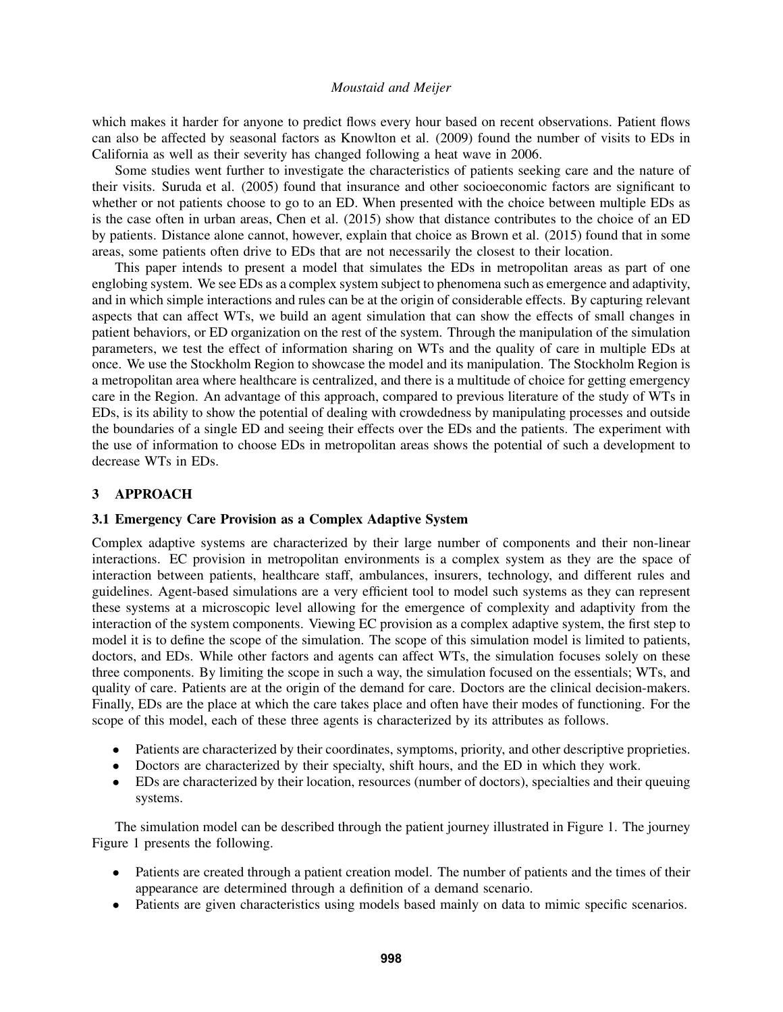which makes it harder for anyone to predict flows every hour based on recent observations. Patient flows can also be affected by seasonal factors as [Knowlton et al. \(2009\)](#page-11-11) found the number of visits to EDs in California as well as their severity has changed following a heat wave in 2006.

Some studies went further to investigate the characteristics of patients seeking care and the nature of their visits. [Suruda et al. \(2005\)](#page-11-12) found that insurance and other socioeconomic factors are significant to whether or not patients choose to go to an ED. When presented with the choice between multiple EDs as is the case often in urban areas, [Chen et al. \(2015\)](#page-10-6) show that distance contributes to the choice of an ED by patients. Distance alone cannot, however, explain that choice as [Brown et al. \(2015\)](#page-10-7) found that in some areas, some patients often drive to EDs that are not necessarily the closest to their location.

This paper intends to present a model that simulates the EDs in metropolitan areas as part of one englobing system. We see EDs as a complex system subject to phenomena such as emergence and adaptivity, and in which simple interactions and rules can be at the origin of considerable effects. By capturing relevant aspects that can affect WTs, we build an agent simulation that can show the effects of small changes in patient behaviors, or ED organization on the rest of the system. Through the manipulation of the simulation parameters, we test the effect of information sharing on WTs and the quality of care in multiple EDs at once. We use the Stockholm Region to showcase the model and its manipulation. The Stockholm Region is a metropolitan area where healthcare is centralized, and there is a multitude of choice for getting emergency care in the Region. An advantage of this approach, compared to previous literature of the study of WTs in EDs, is its ability to show the potential of dealing with crowdedness by manipulating processes and outside the boundaries of a single ED and seeing their effects over the EDs and the patients. The experiment with the use of information to choose EDs in metropolitan areas shows the potential of such a development to decrease WTs in EDs.

# 3 APPROACH

# 3.1 Emergency Care Provision as a Complex Adaptive System

Complex adaptive systems are characterized by their large number of components and their non-linear interactions. EC provision in metropolitan environments is a complex system as they are the space of interaction between patients, healthcare staff, ambulances, insurers, technology, and different rules and guidelines. Agent-based simulations are a very efficient tool to model such systems as they can represent these systems at a microscopic level allowing for the emergence of complexity and adaptivity from the interaction of the system components. Viewing EC provision as a complex adaptive system, the first step to model it is to define the scope of the simulation. The scope of this simulation model is limited to patients, doctors, and EDs. While other factors and agents can affect WTs, the simulation focuses solely on these three components. By limiting the scope in such a way, the simulation focused on the essentials; WTs, and quality of care. Patients are at the origin of the demand for care. Doctors are the clinical decision-makers. Finally, EDs are the place at which the care takes place and often have their modes of functioning. For the scope of this model, each of these three agents is characterized by its attributes as follows.

- Patients are characterized by their coordinates, symptoms, priority, and other descriptive proprieties.
- Doctors are characterized by their specialty, shift hours, and the ED in which they work.
- EDs are characterized by their location, resources (number of doctors), specialties and their queuing systems.

The simulation model can be described through the patient journey illustrated in Figure [1.](#page-3-0) The journey Figure [1](#page-3-0) presents the following.

- Patients are created through a patient creation model. The number of patients and the times of their appearance are determined through a definition of a demand scenario.
- Patients are given characteristics using models based mainly on data to mimic specific scenarios.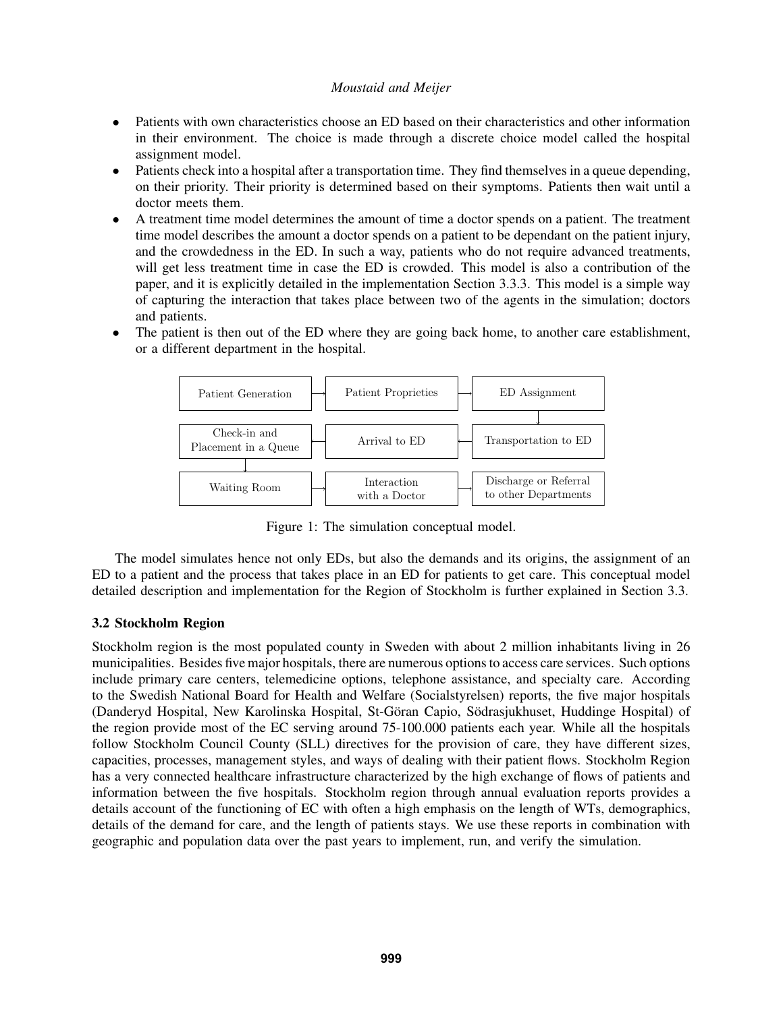- Patients with own characteristics choose an ED based on their characteristics and other information in their environment. The choice is made through a discrete choice model called the hospital assignment model.
- Patients check into a hospital after a transportation time. They find themselves in a queue depending, on their priority. Their priority is determined based on their symptoms. Patients then wait until a doctor meets them.
- A treatment time model determines the amount of time a doctor spends on a patient. The treatment time model describes the amount a doctor spends on a patient to be dependant on the patient injury, and the crowdedness in the ED. In such a way, patients who do not require advanced treatments, will get less treatment time in case the ED is crowded. This model is also a contribution of the paper, and it is explicitly detailed in the implementation Section [3.3.3.](#page-5-0) This model is a simple way of capturing the interaction that takes place between two of the agents in the simulation; doctors and patients.
- The patient is then out of the ED where they are going back home, to another care establishment, or a different department in the hospital.



<span id="page-3-0"></span>Figure 1: The simulation conceptual model.

The model simulates hence not only EDs, but also the demands and its origins, the assignment of an ED to a patient and the process that takes place in an ED for patients to get care. This conceptual model detailed description and implementation for the Region of Stockholm is further explained in Section [3.3.](#page-4-0)

# 3.2 Stockholm Region

Stockholm region is the most populated county in Sweden with about 2 million inhabitants living in 26 municipalities. Besides five major hospitals, there are numerous options to access care services. Such options include primary care centers, telemedicine options, telephone assistance, and specialty care. According to the Swedish National Board for Health and Welfare (Socialstyrelsen) reports, the five major hospitals (Danderyd Hospital, New Karolinska Hospital, St-Göran Capio, Södrasjukhuset, Huddinge Hospital) of the region provide most of the EC serving around 75-100.000 patients each year. While all the hospitals follow Stockholm Council County (SLL) directives for the provision of care, they have different sizes, capacities, processes, management styles, and ways of dealing with their patient flows. Stockholm Region has a very connected healthcare infrastructure characterized by the high exchange of flows of patients and information between the five hospitals. Stockholm region through annual evaluation reports provides a details account of the functioning of EC with often a high emphasis on the length of WTs, demographics, details of the demand for care, and the length of patients stays. We use these reports in combination with geographic and population data over the past years to implement, run, and verify the simulation.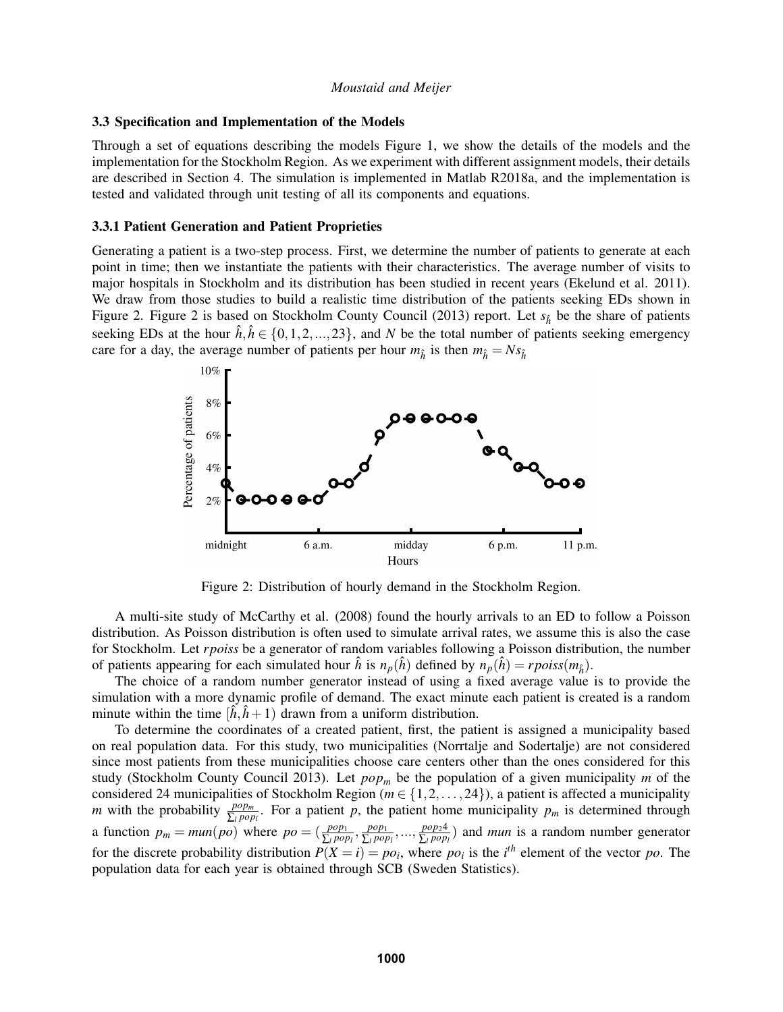## <span id="page-4-0"></span>3.3 Specification and Implementation of the Models

Through a set of equations describing the models Figure 1, we show the details of the models and the implementation for the Stockholm Region. As we experiment with different assignment models, their details are described in Section [4.](#page-7-0) The simulation is implemented in Matlab R2018a, and the implementation is tested and validated through unit testing of all its components and equations.

## 3.3.1 Patient Generation and Patient Proprieties

Generating a patient is a two-step process. First, we determine the number of patients to generate at each point in time; then we instantiate the patients with their characteristics. The average number of visits to major hospitals in Stockholm and its distribution has been studied in recent years [\(Ekelund et al. 2011\)](#page-10-8). We draw from those studies to build a realistic time distribution of the patients seeking EDs shown in Figure [2.](#page-4-1) Figure [2](#page-4-1) is based on [Stockholm County Council \(2013\)](#page-11-13) report. Let  $s_{\hat{h}}$  be the share of patients seeking EDs at the hour  $\hat{h}, \hat{h} \in \{0, 1, 2, ..., 23\}$ , and *N* be the total number of patients seeking emergency care for a day, the average number of patients per hour  $m_{\hat{h}}$  is then  $m_{\hat{h}} = N s_{\hat{h}}$ 



<span id="page-4-1"></span>Figure 2: Distribution of hourly demand in the Stockholm Region.

A multi-site study of [McCarthy et al. \(2008\)](#page-11-0) found the hourly arrivals to an ED to follow a Poisson distribution. As Poisson distribution is often used to simulate arrival rates, we assume this is also the case for Stockholm. Let *rpoiss* be a generator of random variables following a Poisson distribution, the number of patients appearing for each simulated hour  $\hat{h}$  is  $n_p(\hat{h})$  defined by  $n_p(\hat{h}) = r \text{poiss}(m_{\hat{h}})$ .

The choice of a random number generator instead of using a fixed average value is to provide the simulation with a more dynamic profile of demand. The exact minute each patient is created is a random minute within the time  $[\hat{h}, \hat{h} + 1)$  drawn from a uniform distribution.

To determine the coordinates of a created patient, first, the patient is assigned a municipality based on real population data. For this study, two municipalities (Norrtalje and Sodertalje) are not considered since most patients from these municipalities choose care centers other than the ones considered for this study [\(Stockholm County Council 2013\)](#page-11-13). Let *pop<sup>m</sup>* be the population of a given municipality *m* of the considered 24 municipalities of Stockholm Region ( $m \in \{1, 2, ..., 24\}$ ), a patient is affected a municipality *m* with the probability  $\frac{pop_m}{\sum_l pop_l}$ . For a patient *p*, the patient home municipality  $p_m$  is determined through a function  $p_m = \text{min}(po)$  where  $po = (\frac{pop_1}{\sum_l pop_l}, \frac{pop_l}{\sum_l pop_l})$ ∑*<sup>l</sup> pop<sup>l</sup>* ,..., *pop*24  $\frac{pop_24}{\sum_{l} pop_l}$  and *mun* is a random number generator for the discrete probability distribution  $P(X = i) = po_i$ , where  $po_i$  is the *i*<sup>th</sup> element of the vector *po*. The population data for each year is obtained through SCB (Sweden Statistics).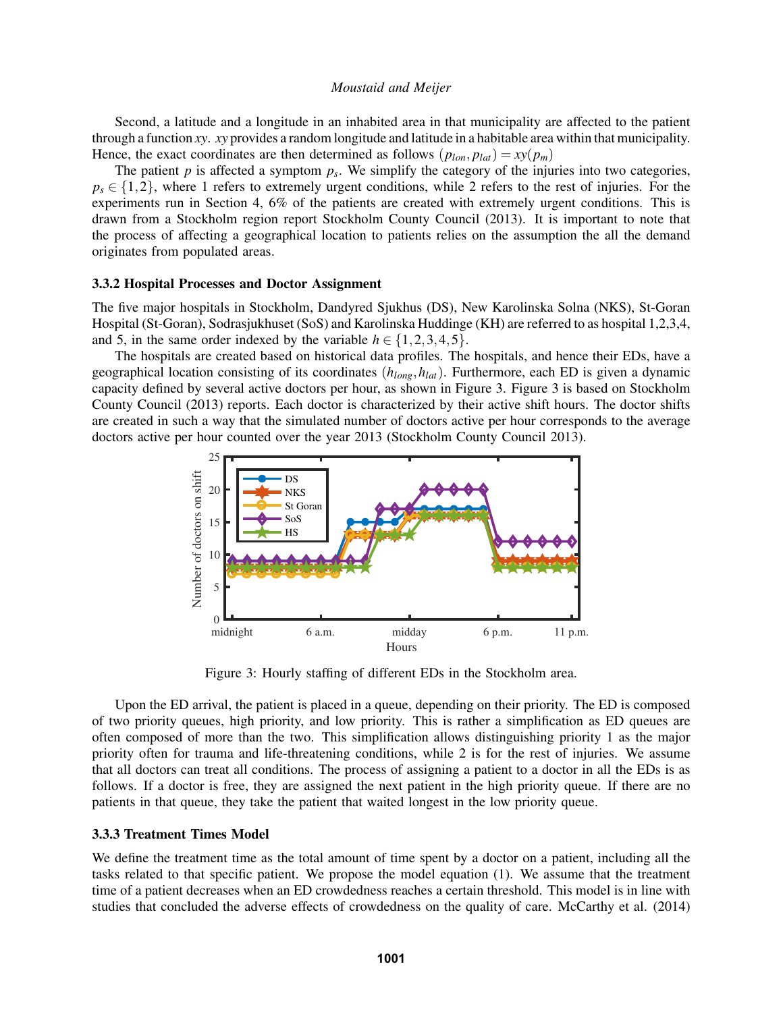Second, a latitude and a longitude in an inhabited area in that municipality are affected to the patient through a function *xy*. *xy* provides a random longitude and latitude in a habitable area within that municipality. Hence, the exact coordinates are then determined as follows  $(p_{lon}, p_{lat}) = xy(p_m)$ 

The patient  $p$  is affected a symptom  $p_s$ . We simplify the category of the injuries into two categories,  $p_s \in \{1,2\}$ , where 1 refers to extremely urgent conditions, while 2 refers to the rest of injuries. For the experiments run in Section [4,](#page-7-0) 6% of the patients are created with extremely urgent conditions. This is drawn from a Stockholm region report [Stockholm County Council \(2013\).](#page-11-13) It is important to note that the process of affecting a geographical location to patients relies on the assumption the all the demand originates from populated areas.

## 3.3.2 Hospital Processes and Doctor Assignment

The five major hospitals in Stockholm, Dandyred Sjukhus (DS), New Karolinska Solna (NKS), St-Goran Hospital (St-Goran), Sodrasjukhuset (SoS) and Karolinska Huddinge (KH) are referred to as hospital 1,2,3,4, and 5, in the same order indexed by the variable  $h \in \{1, 2, 3, 4, 5\}.$ 

The hospitals are created based on historical data profiles. The hospitals, and hence their EDs, have a geographical location consisting of its coordinates (*hlong*,*hlat*). Furthermore, each ED is given a dynamic capacity defined by several active doctors per hour, as shown in Figure [3.](#page-5-1) Figure [3](#page-5-1) is based on [Stockholm](#page-11-13) [County Council \(2013\)](#page-11-13) reports. Each doctor is characterized by their active shift hours. The doctor shifts are created in such a way that the simulated number of doctors active per hour corresponds to the average doctors active per hour counted over the year 2013 [\(Stockholm County Council 2013\)](#page-11-13).



<span id="page-5-1"></span>Figure 3: Hourly staffing of different EDs in the Stockholm area.

Upon the ED arrival, the patient is placed in a queue, depending on their priority. The ED is composed of two priority queues, high priority, and low priority. This is rather a simplification as ED queues are often composed of more than the two. This simplification allows distinguishing priority 1 as the major priority often for trauma and life-threatening conditions, while 2 is for the rest of injuries. We assume that all doctors can treat all conditions. The process of assigning a patient to a doctor in all the EDs is as follows. If a doctor is free, they are assigned the next patient in the high priority queue. If there are no patients in that queue, they take the patient that waited longest in the low priority queue.

#### <span id="page-5-0"></span>3.3.3 Treatment Times Model

We define the treatment time as the total amount of time spent by a doctor on a patient, including all the tasks related to that specific patient. We propose the model equation [\(1\)](#page-6-0). We assume that the treatment time of a patient decreases when an ED crowdedness reaches a certain threshold. This model is in line with studies that concluded the adverse effects of crowdedness on the quality of care. [McCarthy et al. \(2014\)](#page-11-14)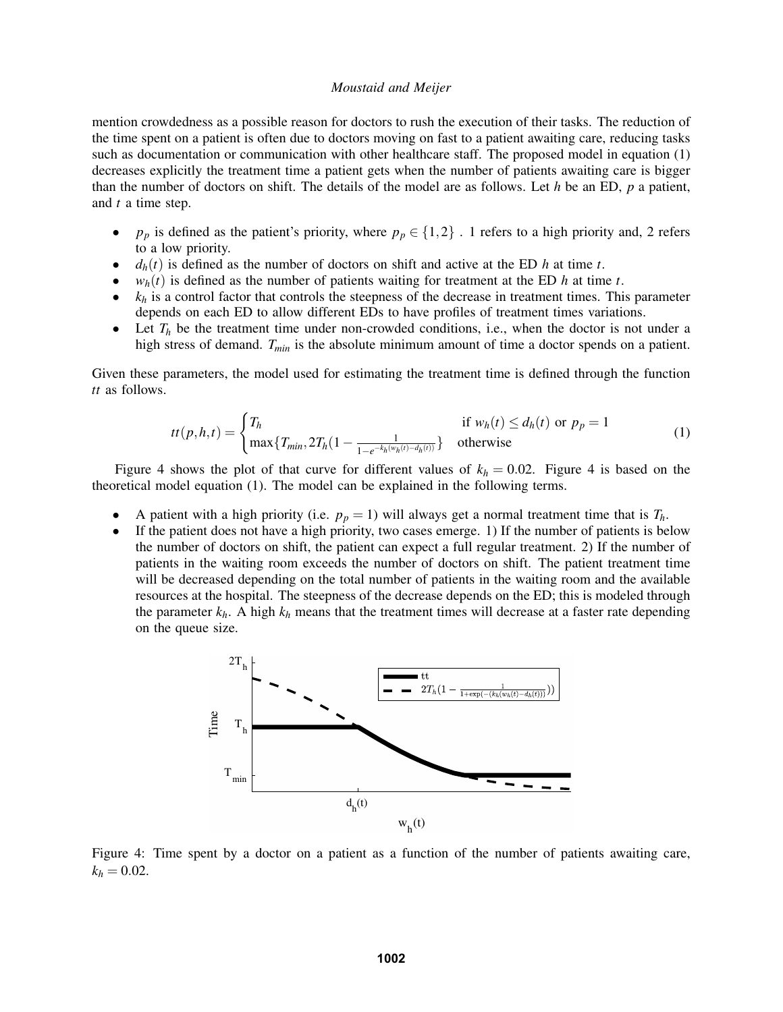mention crowdedness as a possible reason for doctors to rush the execution of their tasks. The reduction of the time spent on a patient is often due to doctors moving on fast to a patient awaiting care, reducing tasks such as documentation or communication with other healthcare staff. The proposed model in equation [\(1\)](#page-6-0) decreases explicitly the treatment time a patient gets when the number of patients awaiting care is bigger than the number of doctors on shift. The details of the model are as follows. Let *h* be an ED, *p* a patient, and *t* a time step.

- $p_p$  is defined as the patient's priority, where  $p_p \in \{1,2\}$ . 1 refers to a high priority and, 2 refers to a low priority.
- $d_h(t)$  is defined as the number of doctors on shift and active at the ED  $h$  at time  $t$ .
- $w_h(t)$  is defined as the number of patients waiting for treatment at the ED  $h$  at time  $t$ .
- $k_h$  is a control factor that controls the steepness of the decrease in treatment times. This parameter depends on each ED to allow different EDs to have profiles of treatment times variations.
- Let  $T_h$  be the treatment time under non-crowded conditions, i.e., when the doctor is not under a high stress of demand. *Tmin* is the absolute minimum amount of time a doctor spends on a patient.

Given these parameters, the model used for estimating the treatment time is defined through the function *tt* as follows.

<span id="page-6-0"></span>
$$
tt(p,h,t) = \begin{cases} T_h & \text{if } w_h(t) \le d_h(t) \text{ or } p_p = 1\\ \max\{T_{min}, 2T_h(1 - \frac{1}{1 - e^{-k_h(w_h(t) - d_h(t))}}\} & \text{otherwise} \end{cases}
$$
(1)

Figure [4](#page-6-1) shows the plot of that curve for different values of  $k_h = 0.02$ . Figure 4 is based on the theoretical model equation [\(1\)](#page-6-0). The model can be explained in the following terms.

- A patient with a high priority (i.e.  $p_p = 1$ ) will always get a normal treatment time that is  $T_h$ .
- If the patient does not have a high priority, two cases emerge. 1) If the number of patients is below the number of doctors on shift, the patient can expect a full regular treatment. 2) If the number of patients in the waiting room exceeds the number of doctors on shift. The patient treatment time will be decreased depending on the total number of patients in the waiting room and the available resources at the hospital. The steepness of the decrease depends on the ED; this is modeled through the parameter  $k_h$ . A high  $k_h$  means that the treatment times will decrease at a faster rate depending on the queue size.



<span id="page-6-1"></span>Figure 4: Time spent by a doctor on a patient as a function of the number of patients awaiting care,  $k_h = 0.02$ .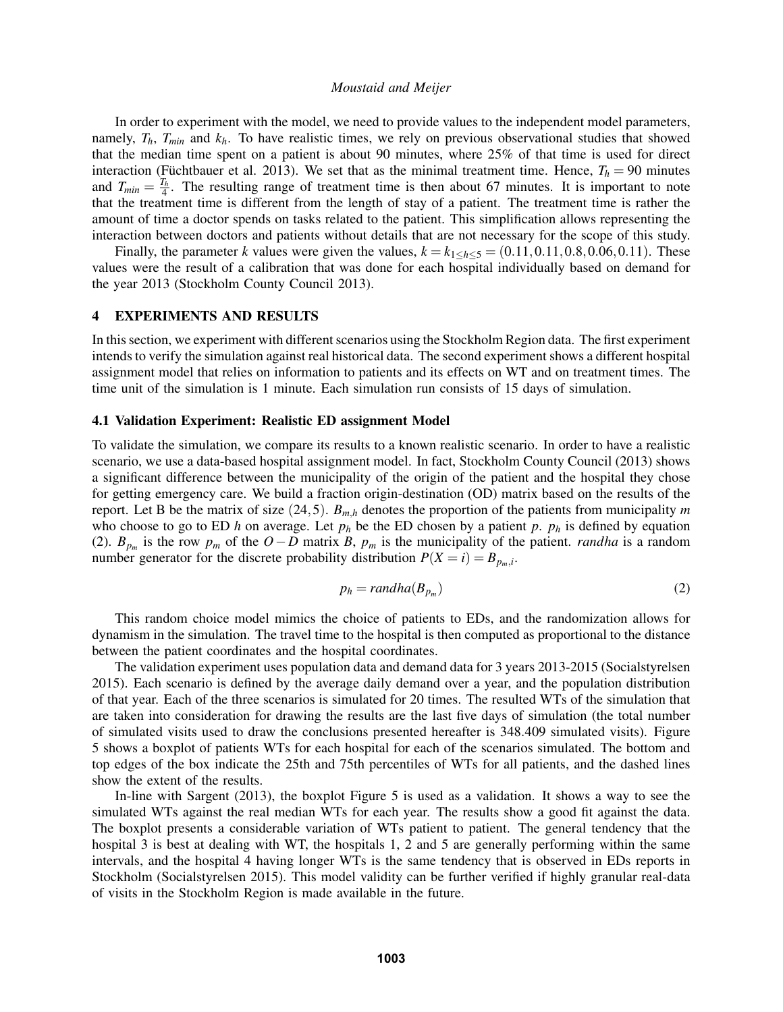In order to experiment with the model, we need to provide values to the independent model parameters, namely,  $T_h$ ,  $T_{min}$  and  $k_h$ . To have realistic times, we rely on previous observational studies that showed that the median time spent on a patient is about 90 minutes, where 25% of that time is used for direct interaction (Füchtbauer et al. 2013). We set that as the minimal treatment time. Hence,  $T_h = 90$  minutes and  $T_{min} = \frac{T_h}{4}$ . The resulting range of treatment time is then about 67 minutes. It is important to note that the treatment time is different from the length of stay of a patient. The treatment time is rather the amount of time a doctor spends on tasks related to the patient. This simplification allows representing the interaction between doctors and patients without details that are not necessary for the scope of this study.

Finally, the parameter *k* values were given the values,  $k = k_{1 \leq h \leq 5} = (0.11, 0.11, 0.8, 0.06, 0.11)$ . These values were the result of a calibration that was done for each hospital individually based on demand for the year 2013 [\(Stockholm County Council 2013\)](#page-11-13).

# <span id="page-7-0"></span>4 EXPERIMENTS AND RESULTS

In this section, we experiment with different scenarios using the Stockholm Region data. The first experiment intends to verify the simulation against real historical data. The second experiment shows a different hospital assignment model that relies on information to patients and its effects on WT and on treatment times. The time unit of the simulation is 1 minute. Each simulation run consists of 15 days of simulation.

## 4.1 Validation Experiment: Realistic ED assignment Model

To validate the simulation, we compare its results to a known realistic scenario. In order to have a realistic scenario, we use a data-based hospital assignment model. In fact, [Stockholm County Council \(2013\)](#page-11-13) shows a significant difference between the municipality of the origin of the patient and the hospital they chose for getting emergency care. We build a fraction origin-destination (OD) matrix based on the results of the report. Let B be the matrix of size (24,5). *Bm*,*<sup>h</sup>* denotes the proportion of the patients from municipality *m* who choose to go to ED *h* on average. Let  $p_h$  be the ED chosen by a patient  $p$ .  $p_h$  is defined by equation [\(2\)](#page-7-1).  $B_{p_m}$  is the row  $p_m$  of the  $O-D$  matrix *B*,  $p_m$  is the municipality of the patient. *randha* is a random number generator for the discrete probability distribution  $P(X = i) = B_{p_m,i}$ .

<span id="page-7-1"></span>
$$
p_h = randha(B_{p_m})\tag{2}
$$

This random choice model mimics the choice of patients to EDs, and the randomization allows for dynamism in the simulation. The travel time to the hospital is then computed as proportional to the distance between the patient coordinates and the hospital coordinates.

The validation experiment uses population data and demand data for 3 years 2013-2015 [\(Socialstyrelsen](#page-11-15) [2015\)](#page-11-15). Each scenario is defined by the average daily demand over a year, and the population distribution of that year. Each of the three scenarios is simulated for 20 times. The resulted WTs of the simulation that are taken into consideration for drawing the results are the last five days of simulation (the total number of simulated visits used to draw the conclusions presented hereafter is 348.409 simulated visits). Figure [5](#page-8-0) shows a boxplot of patients WTs for each hospital for each of the scenarios simulated. The bottom and top edges of the box indicate the 25th and 75th percentiles of WTs for all patients, and the dashed lines show the extent of the results.

In-line with [Sargent \(2013\),](#page-11-16) the boxplot Figure [5](#page-8-0) is used as a validation. It shows a way to see the simulated WTs against the real median WTs for each year. The results show a good fit against the data. The boxplot presents a considerable variation of WTs patient to patient. The general tendency that the hospital 3 is best at dealing with WT, the hospitals 1, 2 and 5 are generally performing within the same intervals, and the hospital 4 having longer WTs is the same tendency that is observed in EDs reports in Stockholm [\(Socialstyrelsen 2015\)](#page-11-15). This model validity can be further verified if highly granular real-data of visits in the Stockholm Region is made available in the future.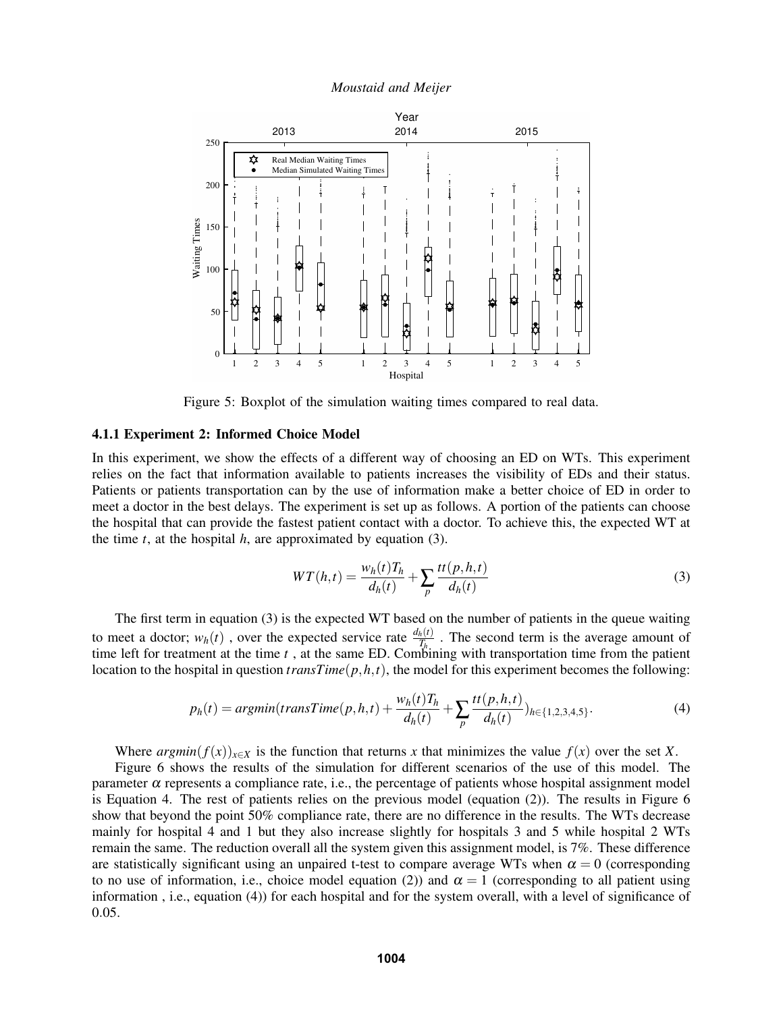

<span id="page-8-0"></span>Figure 5: Boxplot of the simulation waiting times compared to real data.

## 4.1.1 Experiment 2: Informed Choice Model

In this experiment, we show the effects of a different way of choosing an ED on WTs. This experiment relies on the fact that information available to patients increases the visibility of EDs and their status. Patients or patients transportation can by the use of information make a better choice of ED in order to meet a doctor in the best delays. The experiment is set up as follows. A portion of the patients can choose the hospital that can provide the fastest patient contact with a doctor. To achieve this, the expected WT at the time  $t$ , at the hospital  $h$ , are approximated by equation [\(3\)](#page-8-1).

<span id="page-8-1"></span>
$$
WT(h,t) = \frac{w_h(t)T_h}{d_h(t)} + \sum_p \frac{tt(p,h,t)}{d_h(t)}
$$
\n
$$
(3)
$$

The first term in equation [\(3\)](#page-8-1) is the expected WT based on the number of patients in the queue waiting to meet a doctor;  $w_h(t)$ , over the expected service rate  $\frac{d_h(t)}{T_h}$ . The second term is the average amount of time left for treatment at the time *t* , at the same ED. Combining with transportation time from the patient location to the hospital in question  $transTime(p, h, t)$ , the model for this experiment becomes the following:

<span id="page-8-2"></span>
$$
p_h(t) = argmin(transTime(p, h, t) + \frac{w_h(t)T_h}{d_h(t)} + \sum_p \frac{tt(p, h, t)}{d_h(t)})_{h \in \{1, 2, 3, 4, 5\}}.
$$
 (4)

Where *argmin*( $f(x)$ )<sub>*x*∈*X*</sub> is the function that returns *x* that minimizes the value  $f(x)$  over the set *X*.

Figure [6](#page-9-1) shows the results of the simulation for different scenarios of the use of this model. The parameter  $\alpha$  represents a compliance rate, i.e., the percentage of patients whose hospital assignment model is Equation [4.](#page-8-2) The rest of patients relies on the previous model (equation [\(2\)](#page-7-1)). The results in Figure [6](#page-9-1) show that beyond the point 50% compliance rate, there are no difference in the results. The WTs decrease mainly for hospital 4 and 1 but they also increase slightly for hospitals 3 and 5 while hospital 2 WTs remain the same. The reduction overall all the system given this assignment model, is 7%. These difference are statistically significant using an unpaired t-test to compare average WTs when  $\alpha = 0$  (corresponding to no use of information, i.e., choice model equation [\(2\)](#page-7-1)) and  $\alpha = 1$  (corresponding to all patient using information , i.e., equation [\(4\)](#page-8-2)) for each hospital and for the system overall, with a level of significance of 0.05.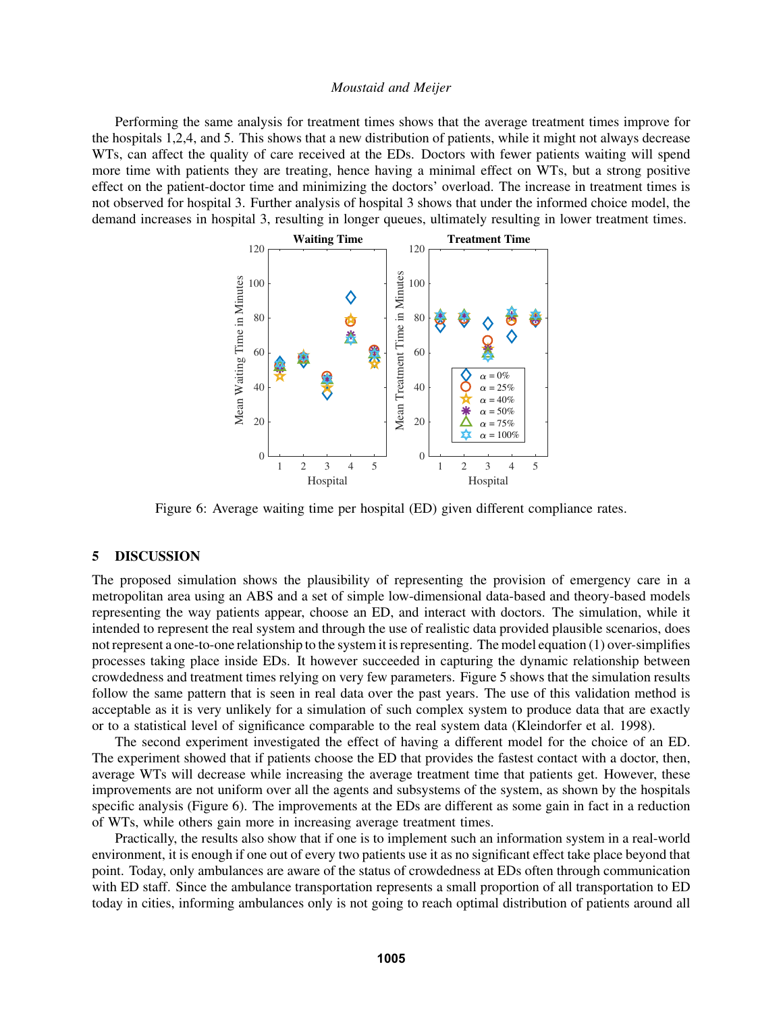Performing the same analysis for treatment times shows that the average treatment times improve for the hospitals 1,2,4, and 5. This shows that a new distribution of patients, while it might not always decrease WTs, can affect the quality of care received at the EDs. Doctors with fewer patients waiting will spend more time with patients they are treating, hence having a minimal effect on WTs, but a strong positive effect on the patient-doctor time and minimizing the doctors' overload. The increase in treatment times is not observed for hospital 3. Further analysis of hospital 3 shows that under the informed choice model, the demand increases in hospital 3, resulting in longer queues, ultimately resulting in lower treatment times.



<span id="page-9-1"></span>Figure 6: Average waiting time per hospital (ED) given different compliance rates.

# <span id="page-9-0"></span>5 DISCUSSION

The proposed simulation shows the plausibility of representing the provision of emergency care in a metropolitan area using an ABS and a set of simple low-dimensional data-based and theory-based models representing the way patients appear, choose an ED, and interact with doctors. The simulation, while it intended to represent the real system and through the use of realistic data provided plausible scenarios, does not represent a one-to-one relationship to the system it is representing. The model equation [\(1\)](#page-6-0) over-simplifies processes taking place inside EDs. It however succeeded in capturing the dynamic relationship between crowdedness and treatment times relying on very few parameters. Figure [5](#page-8-0) shows that the simulation results follow the same pattern that is seen in real data over the past years. The use of this validation method is acceptable as it is very unlikely for a simulation of such complex system to produce data that are exactly or to a statistical level of significance comparable to the real system data [\(Kleindorfer et al. 1998\)](#page-11-17).

The second experiment investigated the effect of having a different model for the choice of an ED. The experiment showed that if patients choose the ED that provides the fastest contact with a doctor, then, average WTs will decrease while increasing the average treatment time that patients get. However, these improvements are not uniform over all the agents and subsystems of the system, as shown by the hospitals specific analysis (Figure [6\)](#page-9-1). The improvements at the EDs are different as some gain in fact in a reduction of WTs, while others gain more in increasing average treatment times.

Practically, the results also show that if one is to implement such an information system in a real-world environment, it is enough if one out of every two patients use it as no significant effect take place beyond that point. Today, only ambulances are aware of the status of crowdedness at EDs often through communication with ED staff. Since the ambulance transportation represents a small proportion of all transportation to ED today in cities, informing ambulances only is not going to reach optimal distribution of patients around all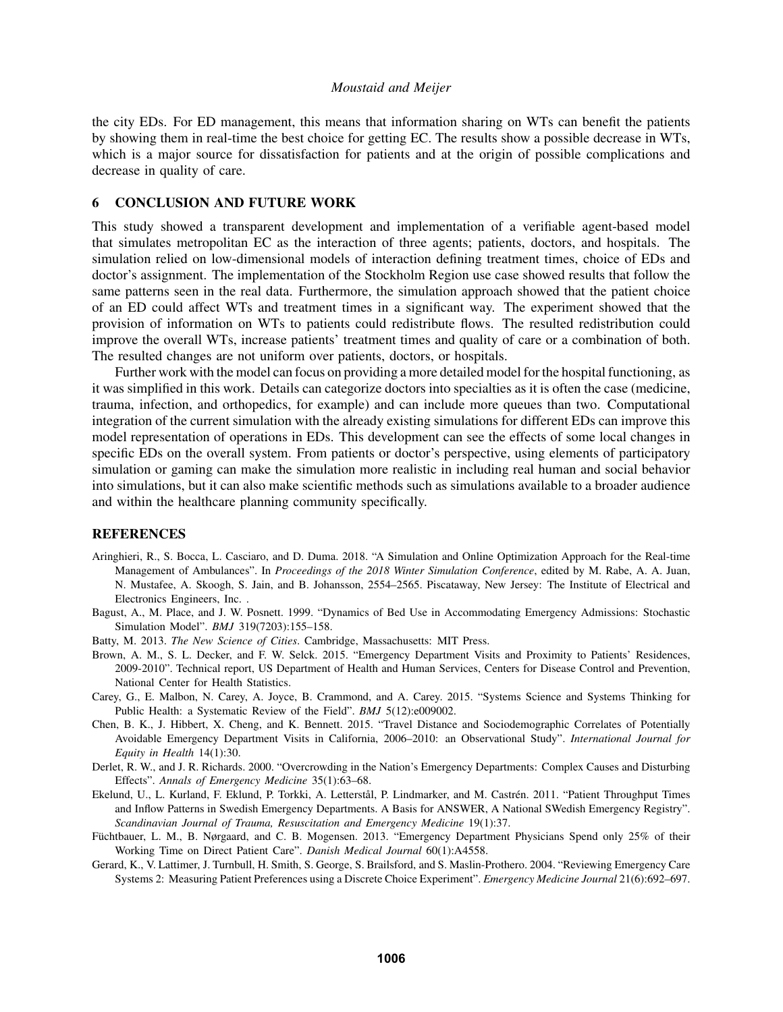the city EDs. For ED management, this means that information sharing on WTs can benefit the patients by showing them in real-time the best choice for getting EC. The results show a possible decrease in WTs, which is a major source for dissatisfaction for patients and at the origin of possible complications and decrease in quality of care.

# 6 CONCLUSION AND FUTURE WORK

This study showed a transparent development and implementation of a verifiable agent-based model that simulates metropolitan EC as the interaction of three agents; patients, doctors, and hospitals. The simulation relied on low-dimensional models of interaction defining treatment times, choice of EDs and doctor's assignment. The implementation of the Stockholm Region use case showed results that follow the same patterns seen in the real data. Furthermore, the simulation approach showed that the patient choice of an ED could affect WTs and treatment times in a significant way. The experiment showed that the provision of information on WTs to patients could redistribute flows. The resulted redistribution could improve the overall WTs, increase patients' treatment times and quality of care or a combination of both. The resulted changes are not uniform over patients, doctors, or hospitals.

Further work with the model can focus on providing a more detailed model for the hospital functioning, as it was simplified in this work. Details can categorize doctors into specialties as it is often the case (medicine, trauma, infection, and orthopedics, for example) and can include more queues than two. Computational integration of the current simulation with the already existing simulations for different EDs can improve this model representation of operations in EDs. This development can see the effects of some local changes in specific EDs on the overall system. From patients or doctor's perspective, using elements of participatory simulation or gaming can make the simulation more realistic in including real human and social behavior into simulations, but it can also make scientific methods such as simulations available to a broader audience and within the healthcare planning community specifically.

# **REFERENCES**

- <span id="page-10-5"></span>Aringhieri, R., S. Bocca, L. Casciaro, and D. Duma. 2018. "A Simulation and Online Optimization Approach for the Real-time Management of Ambulances". In *Proceedings of the 2018 Winter Simulation Conference*, edited by M. Rabe, A. A. Juan, N. Mustafee, A. Skoogh, S. Jain, and B. Johansson, 2554–2565. Piscataway, New Jersey: The Institute of Electrical and Electronics Engineers, Inc. .
- <span id="page-10-4"></span>Bagust, A., M. Place, and J. W. Posnett. 1999. "Dynamics of Bed Use in Accommodating Emergency Admissions: Stochastic Simulation Model". *BMJ* 319(7203):155–158.
- <span id="page-10-1"></span>Batty, M. 2013. *The New Science of Cities*. Cambridge, Massachusetts: MIT Press.
- <span id="page-10-7"></span>Brown, A. M., S. L. Decker, and F. W. Selck. 2015. "Emergency Department Visits and Proximity to Patients' Residences, 2009-2010". Technical report, US Department of Health and Human Services, Centers for Disease Control and Prevention, National Center for Health Statistics.
- <span id="page-10-0"></span>Carey, G., E. Malbon, N. Carey, A. Joyce, B. Crammond, and A. Carey. 2015. "Systems Science and Systems Thinking for Public Health: a Systematic Review of the Field". *BMJ* 5(12):e009002.
- <span id="page-10-6"></span>Chen, B. K., J. Hibbert, X. Cheng, and K. Bennett. 2015. "Travel Distance and Sociodemographic Correlates of Potentially Avoidable Emergency Department Visits in California, 2006–2010: an Observational Study". *International Journal for Equity in Health* 14(1):30.
- <span id="page-10-2"></span>Derlet, R. W., and J. R. Richards. 2000. "Overcrowding in the Nation's Emergency Departments: Complex Causes and Disturbing Effects". *Annals of Emergency Medicine* 35(1):63–68.
- <span id="page-10-8"></span>Ekelund, U., L. Kurland, F. Eklund, P. Torkki, A. Letterstål, P. Lindmarker, and M. Castrén. 2011. "Patient Throughput Times and Inflow Patterns in Swedish Emergency Departments. A Basis for ANSWER, A National SWedish Emergency Registry". *Scandinavian Journal of Trauma, Resuscitation and Emergency Medicine* 19(1):37.
- <span id="page-10-9"></span>Füchtbauer, L. M., B. Nørgaard, and C. B. Mogensen. 2013. "Emergency Department Physicians Spend only 25% of their Working Time on Direct Patient Care". *Danish Medical Journal* 60(1):A4558.
- <span id="page-10-3"></span>Gerard, K., V. Lattimer, J. Turnbull, H. Smith, S. George, S. Brailsford, and S. Maslin-Prothero. 2004. "Reviewing Emergency Care Systems 2: Measuring Patient Preferences using a Discrete Choice Experiment". *Emergency Medicine Journal* 21(6):692–697.